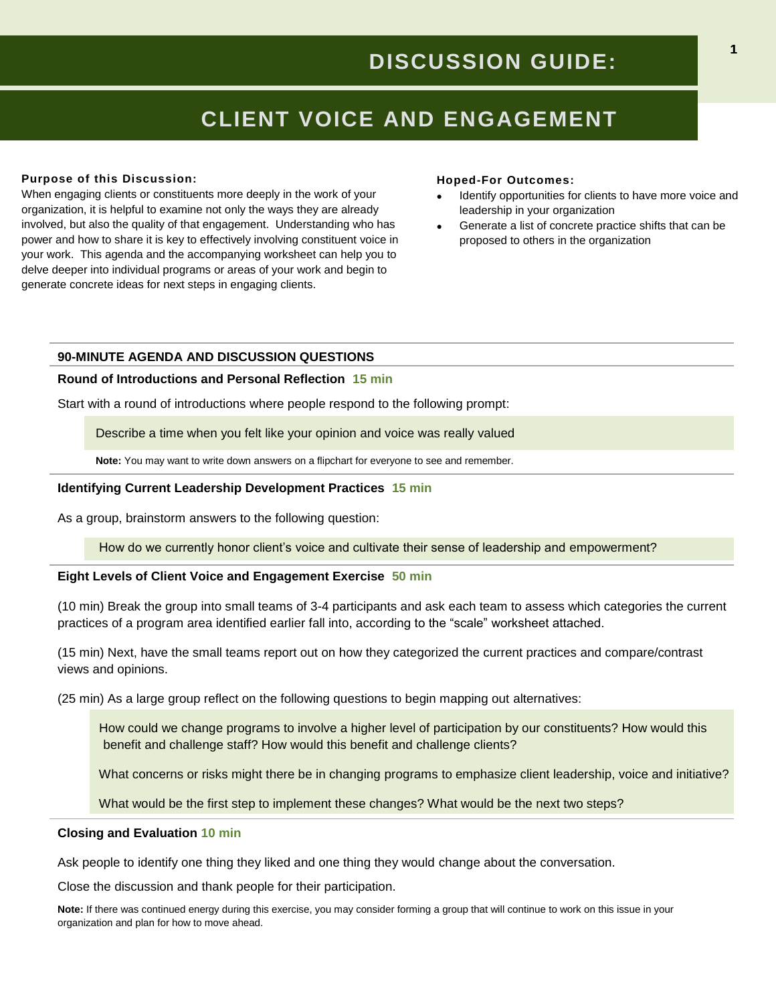# **CLIENT VOICE AND ENGAGEMENT**

## **Purpose of this Discussion:**

When engaging clients or constituents more deeply in the work of your organization, it is helpful to examine not only the ways they are already involved, but also the quality of that engagement. Understanding who has power and how to share it is key to effectively involving constituent voice in your work. This agenda and the accompanying worksheet can help you to delve deeper into individual programs or areas of your work and begin to generate concrete ideas for next steps in engaging clients.

### **Hoped-For Outcomes:**

- Identify opportunities for clients to have more voice and leadership in your organization
- Generate a list of concrete practice shifts that can be proposed to others in the organization

## **90-MINUTE AGENDA AND DISCUSSION QUESTIONS**

## **Round of Introductions and Personal Reflection 15 min**

Start with a round of introductions where people respond to the following prompt:

Describe a time when you felt like your opinion and voice was really valued

**Note:** You may want to write down answers on a flipchart for everyone to see and remember.

## **Identifying Current Leadership Development Practices 15 min**

As a group, brainstorm answers to the following question:

How do we currently honor client's voice and cultivate their sense of leadership and empowerment?

## **Eight Levels of Client Voice and Engagement Exercise 50 min**

(10 min) Break the group into small teams of 3-4 participants and ask each team to assess which categories the current practices of a program area identified earlier fall into, according to the "scale" worksheet attached.

(15 min) Next, have the small teams report out on how they categorized the current practices and compare/contrast views and opinions.

(25 min) As a large group reflect on the following questions to begin mapping out alternatives:

How could we change programs to involve a higher level of participation by our constituents? How would this benefit and challenge staff? How would this benefit and challenge clients?

What concerns or risks might there be in changing programs to emphasize client leadership, voice and initiative?

What would be the first step to implement these changes? What would be the next two steps?

#### **Closing and Evaluation 10 min**

Ask people to identify one thing they liked and one thing they would change about the conversation.

Close the discussion and thank people for their participation.

**Note:** If there was continued energy during this exercise, you may consider forming a group that will continue to work on this issue in your organization and plan for how to move ahead.